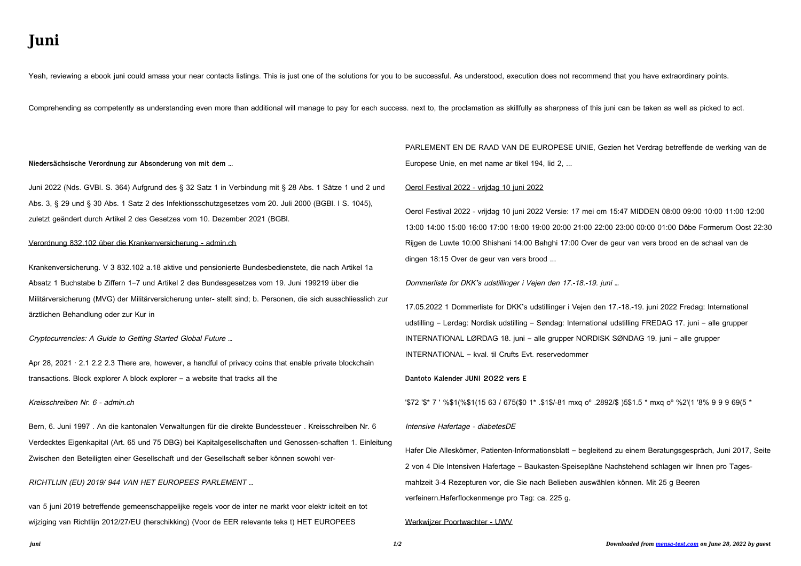# **Juni**

Yeah, reviewing a ebook **juni** could amass your near contacts listings. This is just one of the solutions for you to be successful. As understood, execution does not recommend that you have extraordinary points.

Comprehending as competently as understanding even more than additional will manage to pay for each success. next to, the proclamation as skillfully as sharpness of this juni can be taken as well as picked to act.

#### **Niedersächsische Verordnung zur Absonderung von mit dem …**

Juni 2022 (Nds. GVBl. S. 364) Aufgrund des § 32 Satz 1 in Verbindung mit § 28 Abs. 1 Sätze 1 und 2 und Abs. 3, § 29 und § 30 Abs. 1 Satz 2 des Infektionsschutzgesetzes vom 20. Juli 2000 (BGBl. I S. 1045), zuletzt geändert durch Artikel 2 des Gesetzes vom 10. Dezember 2021 (BGBl.

Apr 28, 2021 · 2.1 2.2 2.3 There are, however, a handful of privacy coins that enable private blockchain transactions. Block explorer A block explorer – a website that tracks all the

#### Verordnung 832.102 über die Krankenversicherung - admin.ch

Krankenversicherung. V 3 832.102 a.18 aktive und pensionierte Bundesbedienstete, die nach Artikel 1a Absatz 1 Buchstabe b Ziffern 1–7 und Artikel 2 des Bundesgesetzes vom 19. Juni 199219 über die Militärversicherung (MVG) der Militärversicherung unter- stellt sind; b. Personen, die sich ausschliesslich zur ärztlichen Behandlung oder zur Kur in

Cryptocurrencies: A Guide to Getting Started Global Future …

### Kreisschreiben Nr. 6 - admin.ch

Bern, 6. Juni 1997 . An die kantonalen Verwaltungen für die direkte Bundessteuer . Kreisschreiben Nr. 6 Verdecktes Eigenkapital (Art. 65 und 75 DBG) bei Kapitalgesellschaften und Genossen-schaften 1. Einleitung Zwischen den Beteiligten einer Gesellschaft und der Gesellschaft selber können sowohl ver-

### RICHTLIJN (EU) 2019/ 944 VAN HET EUROPEES PARLEMENT …

van 5 juni 2019 betreffende gemeenschappelijke regels voor de inter ne markt voor elektr iciteit en tot wijziging van Richtlijn 2012/27/EU (herschikking) (Voor de EER relevante teks t) HET EUROPEES

## PARLEMENT EN DE RAAD VAN DE EUROPESE UNIE, Gezien het Verdrag betreffende de werking van de Europese Unie, en met name ar tikel 194, lid 2, ...

### Oerol Festival 2022 - vrijdag 10 juni 2022

Oerol Festival 2022 - vrijdag 10 juni 2022 Versie: 17 mei om 15:47 MIDDEN 08:00 09:00 10:00 11:00 12:00 13:00 14:00 15:00 16:00 17:00 18:00 19:00 20:00 21:00 22:00 23:00 00:00 01:00 Dôbe Formerum Oost 22:30 Rijgen de Luwte 10:00 Shishani 14:00 Bahghi 17:00 Over de geur van vers brood en de schaal van de dingen 18:15 Over de geur van vers brood ...

Dommerliste for DKK's udstillinger i Vejen den 17.-18.-19. juni …

17.05.2022 1 Dommerliste for DKK's udstillinger i Vejen den 17.-18.-19. juni 2022 Fredag: International udstilling – Lørdag: Nordisk udstilling – Søndag: International udstilling FREDAG 17. juni – alle grupper INTERNATIONAL LØRDAG 18. juni – alle grupper NORDISK SØNDAG 19. juni – alle grupper INTERNATIONAL – kval. til Crufts Evt. reservedommer

**Dantoto Kalender JUNI 2022 vers E**

'\$72 '\$\* 7 ' %\$1(%\$1(15 63 / 675(\$0 1\* .\$1\$/-81 mxq oº .2892/\$ )5\$1.5 \* mxq oº %2'(1 '8% 9 9 9 69(5 \*

#### Intensive Hafertage - diabetesDE

Hafer Die Alleskörner, Patienten-Informationsblatt – begleitend zu einem Beratungsgespräch, Juni 2017, Seite 2 von 4 Die Intensiven Hafertage – Baukasten-Speisepläne Nachstehend schlagen wir Ihnen pro Tagesmahlzeit 3-4 Rezepturen vor, die Sie nach Belieben auswählen können. Mit 25 g Beeren verfeinern.Haferflockenmenge pro Tag: ca. 225 g.

#### Werkwijzer Poortwachter - UWV